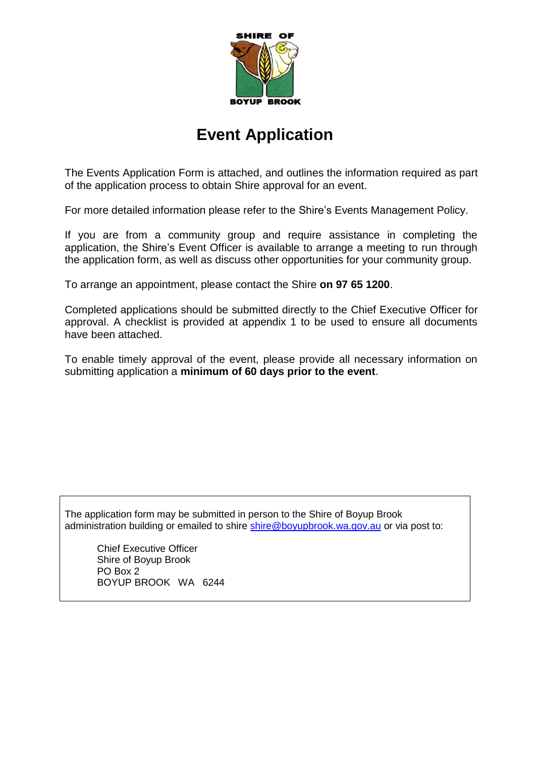

## **Event Application**

The Events Application Form is attached, and outlines the information required as part of the application process to obtain Shire approval for an event.

For more detailed information please refer to the Shire's Events Management Policy.

If you are from a community group and require assistance in completing the application, the Shire's Event Officer is available to arrange a meeting to run through the application form, as well as discuss other opportunities for your community group.

To arrange an appointment, please contact the Shire **on 97 65 1200**.

Completed applications should be submitted directly to the Chief Executive Officer for approval. A checklist is provided at appendix 1 to be used to ensure all documents have been attached.

To enable timely approval of the event, please provide all necessary information on submitting application a **minimum of 60 days prior to the event**.

The application form may be submitted in person to the Shire of Boyup Brook administration building or emailed to shire [shire@boyupbrook.wa.gov.au](mailto:shire@boyupbrook.wa.gov.au) or via post to:

Chief Executive Officer Shire of Boyup Brook PO Box 2 BOYUP BROOK WA 6244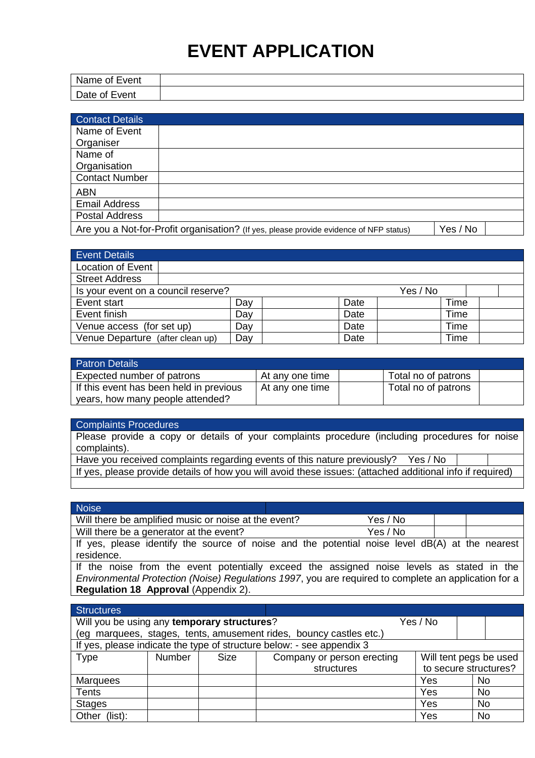# **EVENT APPLICATION**

| Name of Event    |  |
|------------------|--|
| Date of<br>Event |  |

| <b>Contact Details</b> |                                                                                        |          |
|------------------------|----------------------------------------------------------------------------------------|----------|
| Name of Event          |                                                                                        |          |
| Organiser              |                                                                                        |          |
| Name of                |                                                                                        |          |
| Organisation           |                                                                                        |          |
| <b>Contact Number</b>  |                                                                                        |          |
| <b>ABN</b>             |                                                                                        |          |
| <b>Email Address</b>   |                                                                                        |          |
| <b>Postal Address</b>  |                                                                                        |          |
|                        | Are you a Not-for-Profit organisation? (If yes, please provide evidence of NFP status) | Yes / No |

| <b>Event Details</b>                            |     |  |      |  |      |  |
|-------------------------------------------------|-----|--|------|--|------|--|
| <b>Location of Event</b>                        |     |  |      |  |      |  |
| <b>Street Address</b>                           |     |  |      |  |      |  |
| Is your event on a council reserve?<br>Yes / No |     |  |      |  |      |  |
| Event start                                     | Day |  | Date |  | Time |  |
| Event finish                                    | Day |  | Date |  | Time |  |
| Venue access (for set up)                       | Day |  | Date |  | Time |  |
| Venue Departure (after clean up)                | Day |  | Date |  | Time |  |

| <b>Patron Details</b>                   |                 |                     |  |
|-----------------------------------------|-----------------|---------------------|--|
| Expected number of patrons              | At any one time | Total no of patrons |  |
| If this event has been held in previous | At any one time | Total no of patrons |  |
| years, how many people attended?        |                 |                     |  |

| <b>Complaints Procedures</b>                                                                  |  |
|-----------------------------------------------------------------------------------------------|--|
| Please provide a copy or details of your complaints procedure (including procedures for noise |  |
| complaints).                                                                                  |  |
| Have you received complaints regarding events of this nature previously?<br>Yes / No          |  |
|                                                                                               |  |

If yes, please provide details of how you will avoid these issues: (attached additional info if required)

| <b>Noise</b>                                                                                         |          |  |
|------------------------------------------------------------------------------------------------------|----------|--|
| Will there be amplified music or noise at the event?                                                 | Yes / No |  |
| Will there be a generator at the event?                                                              | Yes / No |  |
| If yes, please identify the source of noise and the potential noise level dB(A) at the nearest       |          |  |
| residence.                                                                                           |          |  |
| If the noise from the event potentially exceed the assigned noise levels as stated in the            |          |  |
| Environmental Protection (Noise) Regulations 1997, you are required to complete an application for a |          |  |
| Regulation 18 Approval (Appendix 2).                                                                 |          |  |
|                                                                                                      |          |  |

| <b>Structures</b>                           |               |             |                                                                       |          |                        |
|---------------------------------------------|---------------|-------------|-----------------------------------------------------------------------|----------|------------------------|
| Will you be using any temporary structures? |               |             |                                                                       | Yes / No |                        |
|                                             |               |             | (eg marquees, stages, tents, amusement rides, bouncy castles etc.)    |          |                        |
|                                             |               |             | If yes, please indicate the type of structure below: - see appendix 3 |          |                        |
| <b>Type</b>                                 | <b>Number</b> | <b>Size</b> | Company or person erecting                                            |          | Will tent pegs be used |
|                                             |               |             | structures                                                            |          | to secure structures?  |
| <b>Marquees</b>                             |               |             |                                                                       | Yes      | <b>No</b>              |
| <b>Tents</b>                                |               |             |                                                                       | Yes      | <b>No</b>              |
| <b>Stages</b>                               |               |             |                                                                       | Yes      | <b>No</b>              |
| Other (list):                               |               |             |                                                                       | Yes      | No                     |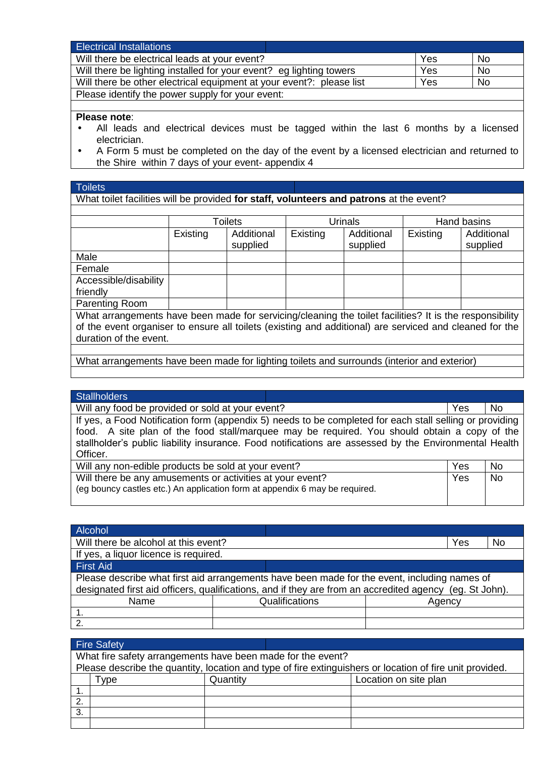| <b>Electrical Installations</b>                                      |     |           |
|----------------------------------------------------------------------|-----|-----------|
| Will there be electrical leads at your event?                        | Yes | <b>No</b> |
| Will there be lighting installed for your event? eg lighting towers  | Yes | <b>No</b> |
| Will there be other electrical equipment at your event?: please list | Yes | <b>No</b> |
| Please identify the power supply for your event:                     |     |           |

#### **Please note**:

- All leads and electrical devices must be tagged within the last 6 months by a licensed electrician.
- A Form 5 must be completed on the day of the event by a licensed electrician and returned to the Shire within 7 days of your event- appendix 4

#### **Toilets**

What toilet facilities will be provided **for staff, volunteers and patrons** at the event?

|                       | <b>Toilets</b> |                        |          | <b>Urinals</b>         | Hand basins |                        |  |
|-----------------------|----------------|------------------------|----------|------------------------|-------------|------------------------|--|
|                       | Existing       | Additional<br>supplied | Existing | Additional<br>supplied | Existing    | Additional<br>supplied |  |
| Male                  |                |                        |          |                        |             |                        |  |
| Female                |                |                        |          |                        |             |                        |  |
| Accessible/disability |                |                        |          |                        |             |                        |  |
| friendly              |                |                        |          |                        |             |                        |  |
| Parenting Room        |                |                        |          |                        |             |                        |  |

What arrangements have been made for servicing/cleaning the toilet facilities? It is the responsibility of the event organiser to ensure all toilets (existing and additional) are serviced and cleaned for the duration of the event.

What arrangements have been made for lighting toilets and surrounds (interior and exterior)

#### **Stallholders**

Will any food be provided or sold at your event? <br>
Yes No If yes, a Food Notification form (appendix 5) needs to be completed for each stall selling or providing food. A site plan of the food stall/marquee may be required. You should obtain a copy of the stallholder's public liability insurance. Food notifications are assessed by the Environmental Health Officer.

| Will any non-edible products be sold at your event?                         | <b>Yes</b> | <b>No</b> |
|-----------------------------------------------------------------------------|------------|-----------|
| Will there be any amusements or activities at your event?                   | Yes        | No.       |
| (eg bouncy castles etc.) An application form at appendix 6 may be required. |            |           |

| Alcohol                                                                                                                                                                                                 |                |  |        |    |
|---------------------------------------------------------------------------------------------------------------------------------------------------------------------------------------------------------|----------------|--|--------|----|
| Will there be alcohol at this event?                                                                                                                                                                    |                |  | Yes    | No |
| If yes, a liquor licence is required.                                                                                                                                                                   |                |  |        |    |
| <b>First Aid</b>                                                                                                                                                                                        |                |  |        |    |
| Please describe what first aid arrangements have been made for the event, including names of<br>designated first aid officers, qualifications, and if they are from an accredited agency (eg. St John). |                |  |        |    |
| Name                                                                                                                                                                                                    | Qualifications |  | Agency |    |
|                                                                                                                                                                                                         |                |  |        |    |
| $\mathcal{P}$                                                                                                                                                                                           |                |  |        |    |

|    | <b>Fire Safety</b>                                          |          |  |                                                                                                          |  |  |  |  |
|----|-------------------------------------------------------------|----------|--|----------------------------------------------------------------------------------------------------------|--|--|--|--|
|    | What fire safety arrangements have been made for the event? |          |  |                                                                                                          |  |  |  |  |
|    |                                                             |          |  | Please describe the quantity, location and type of fire extinguishers or location of fire unit provided. |  |  |  |  |
|    | Type                                                        | Quantity |  | Location on site plan                                                                                    |  |  |  |  |
|    |                                                             |          |  |                                                                                                          |  |  |  |  |
| 2. |                                                             |          |  |                                                                                                          |  |  |  |  |
| 3. |                                                             |          |  |                                                                                                          |  |  |  |  |
|    |                                                             |          |  |                                                                                                          |  |  |  |  |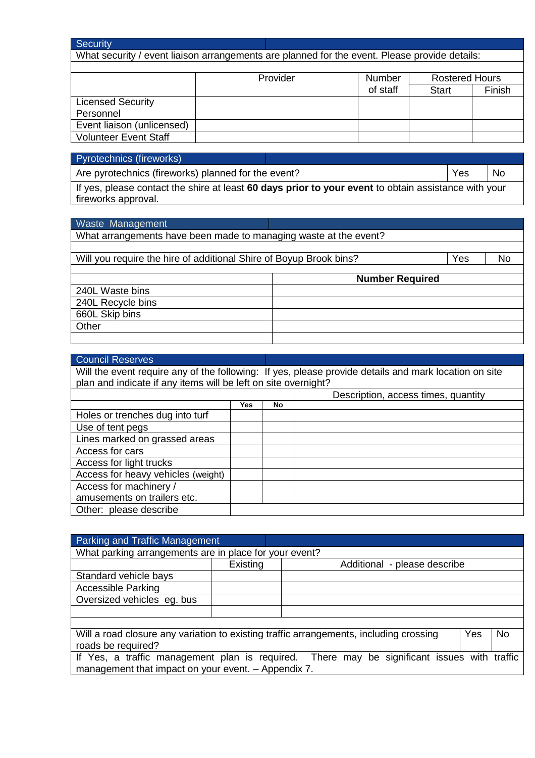| Security                                                                                      |  |          |               |                       |        |
|-----------------------------------------------------------------------------------------------|--|----------|---------------|-----------------------|--------|
| What security / event liaison arrangements are planned for the event. Please provide details: |  |          |               |                       |        |
|                                                                                               |  |          |               |                       |        |
|                                                                                               |  | Provider | <b>Number</b> | <b>Rostered Hours</b> |        |
|                                                                                               |  |          | of staff      | <b>Start</b>          | Finish |
| <b>Licensed Security</b>                                                                      |  |          |               |                       |        |
| Personnel                                                                                     |  |          |               |                       |        |
| Event liaison (unlicensed)                                                                    |  |          |               |                       |        |
| <b>Volunteer Event Staff</b>                                                                  |  |          |               |                       |        |

#### Pyrotechnics (fireworks)

660L Skip bins

**Other** 

Are pyrotechnics (fireworks) planned for the event? <br>
No

If yes, please contact the shire at least **60 days prior to your event** to obtain assistance with your fireworks approval.

### Waste Management What arrangements have been made to managing waste at the event? Will you require the hire of additional Shire of Boyup Brook bins? <br>
No **Number Required** 240L Waste bins 240L Recycle bins

| <b>Council Reserves</b>                                                                                                                                                 |            |     |                                     |  |
|-------------------------------------------------------------------------------------------------------------------------------------------------------------------------|------------|-----|-------------------------------------|--|
| Will the event require any of the following: If yes, please provide details and mark location on site<br>plan and indicate if any items will be left on site overnight? |            |     |                                     |  |
|                                                                                                                                                                         |            |     | Description, access times, quantity |  |
|                                                                                                                                                                         | <b>Yes</b> | No. |                                     |  |
| Holes or trenches dug into turf                                                                                                                                         |            |     |                                     |  |
| Use of tent pegs                                                                                                                                                        |            |     |                                     |  |
| Lines marked on grassed areas                                                                                                                                           |            |     |                                     |  |
| Access for cars                                                                                                                                                         |            |     |                                     |  |
| Access for light trucks                                                                                                                                                 |            |     |                                     |  |
| Access for heavy vehicles (weight)                                                                                                                                      |            |     |                                     |  |
| Access for machinery /                                                                                                                                                  |            |     |                                     |  |
| amusements on trailers etc.                                                                                                                                             |            |     |                                     |  |
| Other: please describe                                                                                                                                                  |            |     |                                     |  |

| <b>Parking and Traffic Management</b>                                                       |          |                                                                                        |     |    |
|---------------------------------------------------------------------------------------------|----------|----------------------------------------------------------------------------------------|-----|----|
| What parking arrangements are in place for your event?                                      |          |                                                                                        |     |    |
|                                                                                             | Existing | Additional - please describe                                                           |     |    |
| Standard vehicle bays                                                                       |          |                                                                                        |     |    |
| <b>Accessible Parking</b>                                                                   |          |                                                                                        |     |    |
| Oversized vehicles eq. bus                                                                  |          |                                                                                        |     |    |
|                                                                                             |          |                                                                                        |     |    |
|                                                                                             |          |                                                                                        |     |    |
|                                                                                             |          | Will a road closure any variation to existing traffic arrangements, including crossing | Yes | No |
| roads be required?                                                                          |          |                                                                                        |     |    |
| If Yes, a traffic management plan is required. There may be significant issues with traffic |          |                                                                                        |     |    |
| management that impact on your event. - Appendix 7.                                         |          |                                                                                        |     |    |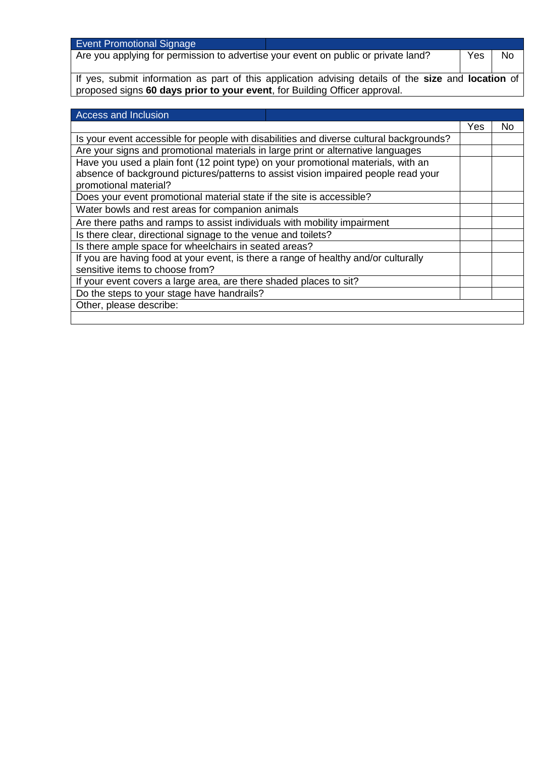| <b>Event Promotional Signage</b>                                                                    |     |           |
|-----------------------------------------------------------------------------------------------------|-----|-----------|
| Are you applying for permission to advertise your event on public or private land?                  | Yes | <b>No</b> |
|                                                                                                     |     |           |
| If yes, submit information as part of this application advising details of the size and location of |     |           |

proposed signs **60 days prior to your event**, for Building Officer approval.

| Access and Inclusion                                                                    |     |    |
|-----------------------------------------------------------------------------------------|-----|----|
|                                                                                         | Yes | No |
| Is your event accessible for people with disabilities and diverse cultural backgrounds? |     |    |
| Are your signs and promotional materials in large print or alternative languages        |     |    |
| Have you used a plain font (12 point type) on your promotional materials, with an       |     |    |
| absence of background pictures/patterns to assist vision impaired people read your      |     |    |
| promotional material?                                                                   |     |    |
| Does your event promotional material state if the site is accessible?                   |     |    |
| Water bowls and rest areas for companion animals                                        |     |    |
| Are there paths and ramps to assist individuals with mobility impairment                |     |    |
| Is there clear, directional signage to the venue and toilets?                           |     |    |
| Is there ample space for wheelchairs in seated areas?                                   |     |    |
| If you are having food at your event, is there a range of healthy and/or culturally     |     |    |
| sensitive items to choose from?                                                         |     |    |
| If your event covers a large area, are there shaded places to sit?                      |     |    |
| Do the steps to your stage have handrails?                                              |     |    |
| Other, please describe:                                                                 |     |    |
|                                                                                         |     |    |